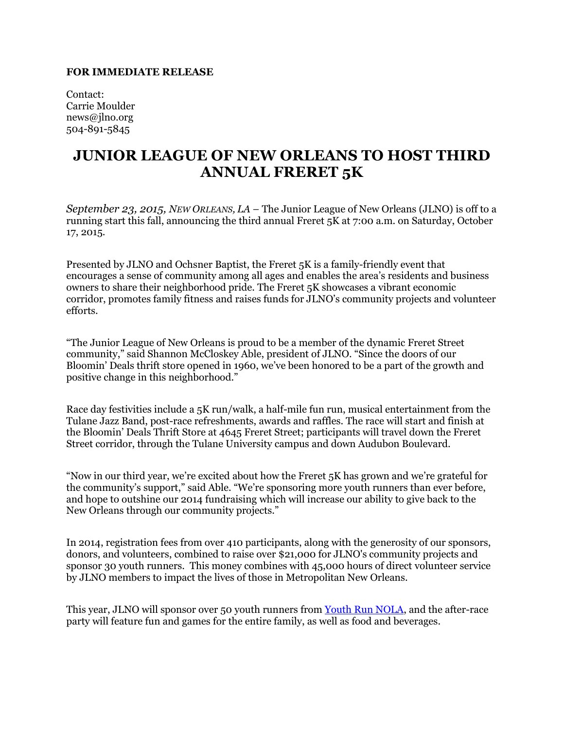## **FOR IMMEDIATE RELEASE**

Contact: Carrie Moulder news@jlno.org 504-891-5845

## **JUNIOR LEAGUE OF NEW ORLEANS TO HOST THIRD ANNUAL FRERET 5K**

*September 23, 2015, NEW ORLEANS, LA* – The Junior League of New Orleans (JLNO) is off to a running start this fall, announcing the third annual Freret 5K at 7:00 a.m. on Saturday, October 17, 2015.

Presented by JLNO and Ochsner Baptist, the Freret 5K is a family-friendly event that encourages a sense of community among all ages and enables the area's residents and business owners to share their neighborhood pride. The Freret 5K showcases a vibrant economic corridor, promotes family fitness and raises funds for JLNO's community projects and volunteer efforts.

"The Junior League of New Orleans is proud to be a member of the dynamic Freret Street community," said Shannon McCloskey Able, president of JLNO. "Since the doors of our Bloomin' Deals thrift store opened in 1960, we've been honored to be a part of the growth and positive change in this neighborhood."

Race day festivities include a 5K run/walk, a half-mile fun run, musical entertainment from the Tulane Jazz Band, post-race refreshments, awards and raffles. The race will start and finish at the Bloomin' Deals Thrift Store at 4645 Freret Street; participants will travel down the Freret Street corridor, through the Tulane University campus and down Audubon Boulevard.

"Now in our third year, we're excited about how the Freret 5K has grown and we're grateful for the community's support," said Able. "We're sponsoring more youth runners than ever before, and hope to outshine our 2014 fundraising which will increase our ability to give back to the New Orleans through our community projects."

In 2014, registration fees from over 410 participants, along with the generosity of our sponsors, donors, and volunteers, combined to raise over \$21,000 for JLNO's community projects and sponsor 30 youth runners. This money combines with 45,000 hours of direct volunteer service by JLNO members to impact the lives of those in Metropolitan New Orleans.

This year, JLNO will sponsor over 50 youth runners fro[m Youth Run NOLA,](http://www.yrnola.org/) and the after-race party will feature fun and games for the entire family, as well as food and beverages.